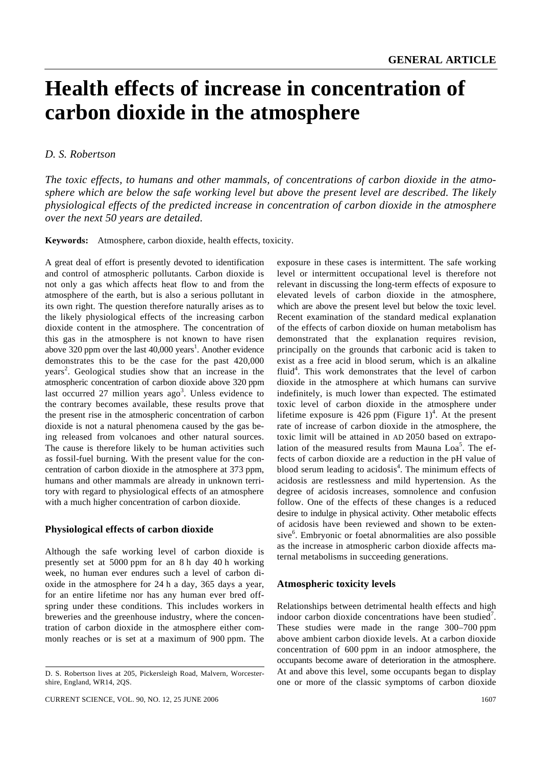# **Health effects of increase in concentration of carbon dioxide in the atmosphere**

## *D. S. Robertson*

*The toxic effects, to humans and other mammals, of concentrations of carbon dioxide in the atmosphere which are below the safe working level but above the present level are described. The likely physiological effects of the predicted increase in concentration of carbon dioxide in the atmosphere over the next 50 years are detailed.*

**Keywords:** Atmosphere, carbon dioxide, health effects, toxicity.

A great deal of effort is presently devoted to identification and control of atmospheric pollutants. Carbon dioxide is not only a gas which affects heat flow to and from the atmosphere of the earth, but is also a serious pollutant in its own right. The question therefore naturally arises as to the likely physiological effects of the increasing carbon dioxide content in the atmosphere. The concentration of this gas in the atmosphere is not known to have risen above 320 ppm over the last  $40,000$  years<sup>1</sup>. Another evidence demonstrates this to be the case for the past 420,000 years<sup>2</sup>. Geological studies show that an increase in the atmospheric concentration of carbon dioxide above 320 ppm last occurred 27 million years ago<sup>3</sup>. Unless evidence to the contrary becomes available, these results prove that the present rise in the atmospheric concentration of carbon dioxide is not a natural phenomena caused by the gas being released from volcanoes and other natural sources. The cause is therefore likely to be human activities such as fossil-fuel burning. With the present value for the concentration of carbon dioxide in the atmosphere at 373 ppm, humans and other mammals are already in unknown territory with regard to physiological effects of an atmosphere with a much higher concentration of carbon dioxide.

### **Physiological effects of carbon dioxide**

Although the safe working level of carbon dioxide is presently set at 5000 ppm for an 8 h day 40 h working week, no human ever endures such a level of carbon dioxide in the atmosphere for 24 h a day, 365 days a year, for an entire lifetime nor has any human ever bred offspring under these conditions. This includes workers in breweries and the greenhouse industry, where the concentration of carbon dioxide in the atmosphere either commonly reaches or is set at a maximum of 900 ppm. The

exposure in these cases is intermittent. The safe working level or intermittent occupational level is therefore not relevant in discussing the long-term effects of exposure to elevated levels of carbon dioxide in the atmosphere, which are above the present level but below the toxic level. Recent examination of the standard medical explanation of the effects of carbon dioxide on human metabolism has demonstrated that the explanation requires revision, principally on the grounds that carbonic acid is taken to exist as a free acid in blood serum, which is an alkaline fluid<sup>4</sup>. This work demonstrates that the level of carbon dioxide in the atmosphere at which humans can survive indefinitely, is much lower than expected. The estimated toxic level of carbon dioxide in the atmosphere under lifetime exposure is 426 ppm (Figure 1)<sup>4</sup>. At the present rate of increase of carbon dioxide in the atmosphere, the toxic limit will be attained in AD 2050 based on extrapolation of the measured results from Mauna Loa<sup>5</sup>. The effects of carbon dioxide are a reduction in the pH value of blood serum leading to acidosis<sup>4</sup>. The minimum effects of acidosis are restlessness and mild hypertension. As the degree of acidosis increases, somnolence and confusion follow. One of the effects of these changes is a reduced desire to indulge in physical activity. Other metabolic effects of acidosis have been reviewed and shown to be extensive<sup>6</sup>. Embryonic or foetal abnormalities are also possible as the increase in atmospheric carbon dioxide affects maternal metabolisms in succeeding generations.

#### **Atmospheric toxicity levels**

Relationships between detrimental health effects and high indoor carbon dioxide concentrations have been studied<sup>7</sup>. These studies were made in the range 300–700 ppm above ambient carbon dioxide levels. At a carbon dioxide concentration of 600 ppm in an indoor atmosphere, the occupants become aware of deterioration in the atmosphere. At and above this level, some occupants began to display one or more of the classic symptoms of carbon dioxide

D. S. Robertson lives at 205, Pickersleigh Road, Malvern, Worcestershire, England, WR14, 2QS.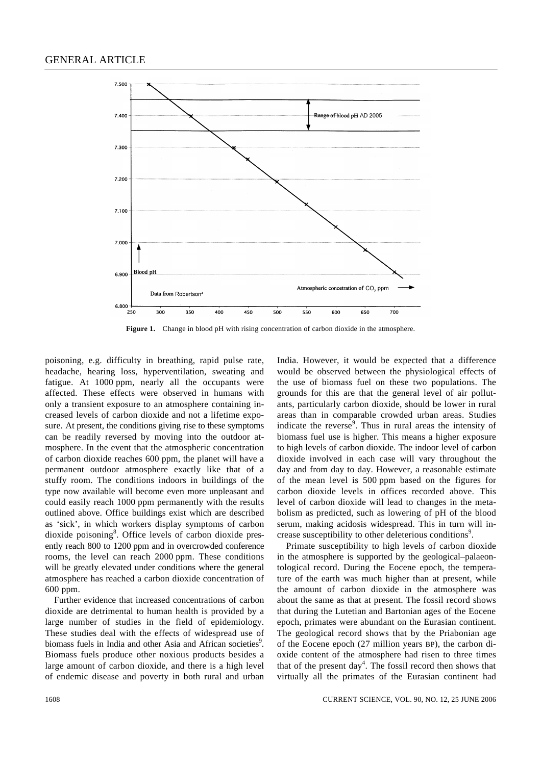

Figure 1. Change in blood pH with rising concentration of carbon dioxide in the atmosphere.

poisoning, e.g. difficulty in breathing, rapid pulse rate, headache, hearing loss, hyperventilation, sweating and fatigue. At 1000 ppm, nearly all the occupants were affected. These effects were observed in humans with only a transient exposure to an atmosphere containing increased levels of carbon dioxide and not a lifetime exposure. At present, the conditions giving rise to these symptoms can be readily reversed by moving into the outdoor atmosphere. In the event that the atmospheric concentration of carbon dioxide reaches 600 ppm, the planet will have a permanent outdoor atmosphere exactly like that of a stuffy room. The conditions indoors in buildings of the type now available will become even more unpleasant and could easily reach 1000 ppm permanently with the results outlined above. Office buildings exist which are described as 'sick', in which workers display symptoms of carbon dioxide poisoning<sup>8</sup>. Office levels of carbon dioxide presently reach 800 to 1200 ppm and in overcrowded conference rooms, the level can reach 2000 ppm. These conditions will be greatly elevated under conditions where the general atmosphere has reached a carbon dioxide concentration of 600 ppm.

Further evidence that increased concentrations of carbon dioxide are detrimental to human health is provided by a large number of studies in the field of epidemiology. These studies deal with the effects of widespread use of biomass fuels in India and other Asia and African societies<sup>9</sup>. Biomass fuels produce other noxious products besides a large amount of carbon dioxide, and there is a high level of endemic disease and poverty in both rural and urban

India. However, it would be expected that a difference would be observed between the physiological effects of the use of biomass fuel on these two populations. The grounds for this are that the general level of air pollutants, particularly carbon dioxide, should be lower in rural areas than in comparable crowded urban areas. Studies indicate the reverse<sup>9</sup>. Thus in rural areas the intensity of biomass fuel use is higher. This means a higher exposure to high levels of carbon dioxide. The indoor level of carbon dioxide involved in each case will vary throughout the day and from day to day. However, a reasonable estimate of the mean level is 500 ppm based on the figures for carbon dioxide levels in offices recorded above. This level of carbon dioxide will lead to changes in the metabolism as predicted, such as lowering of pH of the blood serum, making acidosis widespread. This in turn will increase susceptibility to other deleterious conditions<sup>9</sup>.

Primate susceptibility to high levels of carbon dioxide in the atmosphere is supported by the geological–palaeontological record. During the Eocene epoch, the temperature of the earth was much higher than at present, while the amount of carbon dioxide in the atmosphere was about the same as that at present. The fossil record shows that during the Lutetian and Bartonian ages of the Eocene epoch, primates were abundant on the Eurasian continent. The geological record shows that by the Priabonian age of the Eocene epoch (27 million years BP), the carbon dioxide content of the atmosphere had risen to three times that of the present day<sup>4</sup>. The fossil record then shows that virtually all the primates of the Eurasian continent had